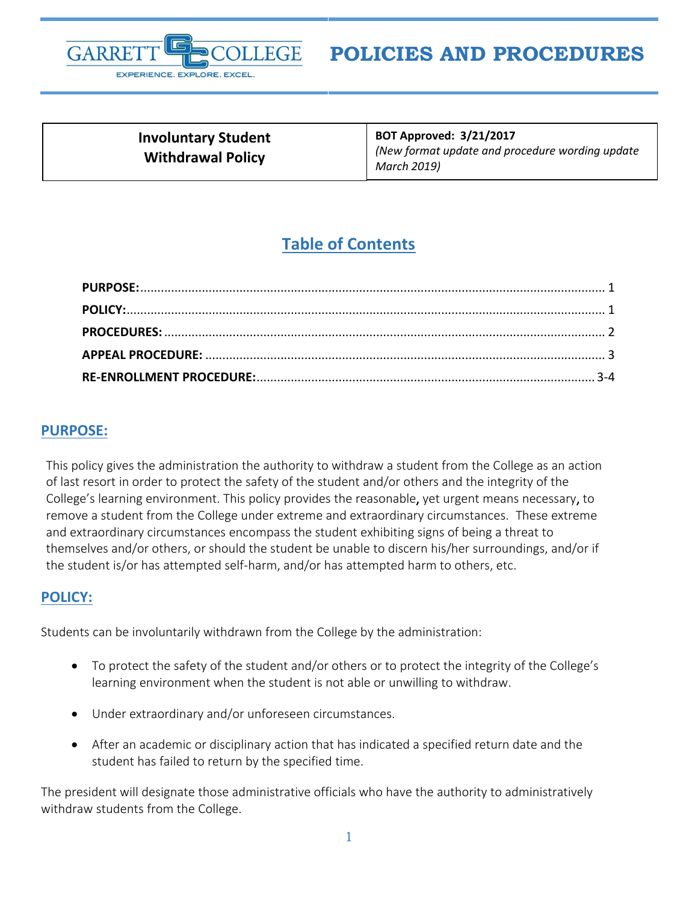

# **POLICIES AND PROCEDURES**

| <b>Involuntary Student</b><br><b>Withdrawal Policy</b> | <b>BOT Approved: 3/21/2017</b><br>(New format update and procedure wording update<br>March 2019) |
|--------------------------------------------------------|--------------------------------------------------------------------------------------------------|
|                                                        |                                                                                                  |

## <span id="page-0-1"></span>**Table of Contents**

#### <span id="page-0-0"></span>**PURPOSE:**

This policy gives the administration the authority to withdraw a student from the College as an action of last resort in order to protect the safety of the student and/or others and the integrity of the College's learning environment. This policy provides the reasonable, yet urgent means necessary, to remove a student from the College under extreme and extraordinary circumstances. These extreme and extraordinary circumstances encompass the student exhibiting signs of being a threat to themselves and/or others, or should the student be unable to discern his/her surroundings, and/or if the student is/or has attempted self-harm, and/or has attempted harm to others, etc.

#### **POLICY:**

Students can be involuntarily withdrawn from the College by the administration:

- To protect the safety of the student and/or others or to protect the integrity of the College's learning environment when the student is not able or unwilling to withdraw.
- Under extraordinary and/or unforeseen circumstances.
- After an academic or disciplinary action that has indicated a specified return date and the student has failed to return by the specified time.

The president will designate those administrative officials who have the authority to administratively withdraw students from the College.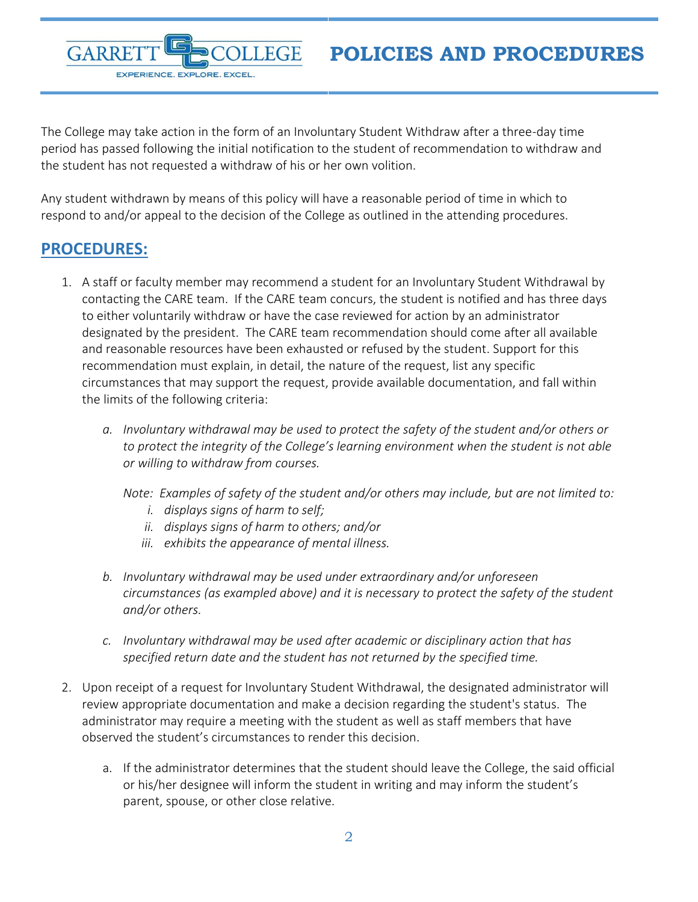The College may take action in the form of an Involuntary Student Withdraw after a three-day time period has passed following the initial notification to the student of recommendation to withdraw and the student has not requested a withdraw of his or her own volition.

Any student withdrawn by means of this policy will have a reasonable period of time in which to respond to and/or appeal to the decision of the College as outlined in the attending procedures.

## <span id="page-1-0"></span>**PROCEDURES:**

GARRE

EXPERIENCE. EXPLORE. EXCEL

- 1. A staff or faculty member may recommend a student for an Involuntary Student Withdrawal by contacting the CARE team. If the CARE team concurs, the student is notified and has three days to either voluntarily withdraw or have the case reviewed for action by an administrator designated by the president. The CARE team recommendation should come after all available and reasonable resources have been exhausted or refused by the student. Support for this recommendation must explain, in detail, the nature of the request, list any specific circumstances that may support the request, provide available documentation, and fall within the limits of the following criteria:
	- *a. Involuntary withdrawal may be used to protect the safety of the student and/or others or to protect the integrity of the College's learning environment when the student is not able or willing to withdraw from courses.* 
		- *Note: Examples of safety of the student and/or others may include, but are not limited to:* 
			- *i. displays signs of harm to self;*
			- *ii. displays signs of harm to others; and/or*
			- *iii. exhibits the appearance of mental illness.*
	- *b. Involuntary withdrawal may be used under extraordinary and/or unforeseen circumstances (as exampled above) and it is necessary to protect the safety of the student and/or others.*
	- *c. Involuntary withdrawal may be used after academic or disciplinary action that has specified return date and the student has not returned by the specified time.*
- 2. Upon receipt of a request for Involuntary Student Withdrawal, the designated administrator will review appropriate documentation and make a decision regarding the student's status. The administrator may require a meeting with the student as well as staff members that have observed the student's circumstances to render this decision.
	- a. If the administrator determines that the student should leave the College, the said official or his/her designee will inform the student in writing and may inform the student's parent, spouse, or other close relative.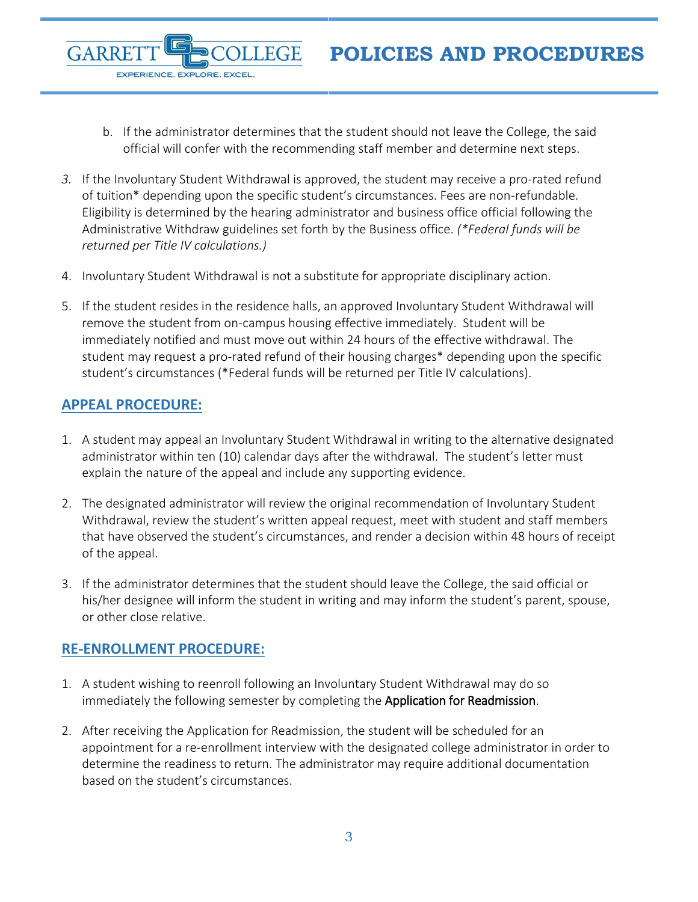- b. If the administrator determines that the student should not leave the College, the said official will confer with the recommending staff member and determine next steps.
- *3.* If the Involuntary Student Withdrawal is approved, the student may receive a pro-rated refund of tuition\* depending upon the specific student's circumstances. Fees are non-refundable. Eligibility is determined by the hearing administrator and business office official following the Administrative Withdraw guidelines set forth by the Business office. *(\*Federal funds will be returned per Title IV calculations.)*
- 4. Involuntary Student Withdrawal is not a substitute for appropriate disciplinary action.
- 5. If the student resides in the residence halls, an approved Involuntary Student Withdrawal will remove the student from on-campus housing effective immediately. Student will be immediately notified and must move out within 24 hours of the effective withdrawal. The student may request a pro-rated refund of their housing charges\* depending upon the specific student's circumstances (\*Federal funds will be returned per Title IV calculations).

### <span id="page-2-0"></span>**APPEAL PROCEDURE:**

GARRE

EXPERIENCE. EXPLORE. EXCEL

- 1. A student may appeal an Involuntary Student Withdrawal in writing to the alternative designated administrator within ten (10) calendar days after the withdrawal. The student's letter must explain the nature of the appeal and include any supporting evidence.
- 2. The designated administrator will review the original recommendation of Involuntary Student Withdrawal, review the student's written appeal request, meet with student and staff members that have observed the student's circumstances, and render a decision within 48 hours of receipt of the appeal.
- 3. If the administrator determines that the student should leave the College, the said official or his/her designee will inform the student in writing and may inform the student's parent, spouse, or other close relative.

### <span id="page-2-1"></span>**RE-ENROLLMENT PROCEDURE:**

- 1. A student wishing to reenroll following an Involuntary Student Withdrawal may do so immediately the following semester by completing the Application for Readmission.
- 2. After receiving the Application for Readmission, the student will be scheduled for an appointment for a re-enrollment interview with the designated college administrator in order to determine the readiness to return. The administrator may require additional documentation based on the student's circumstances.